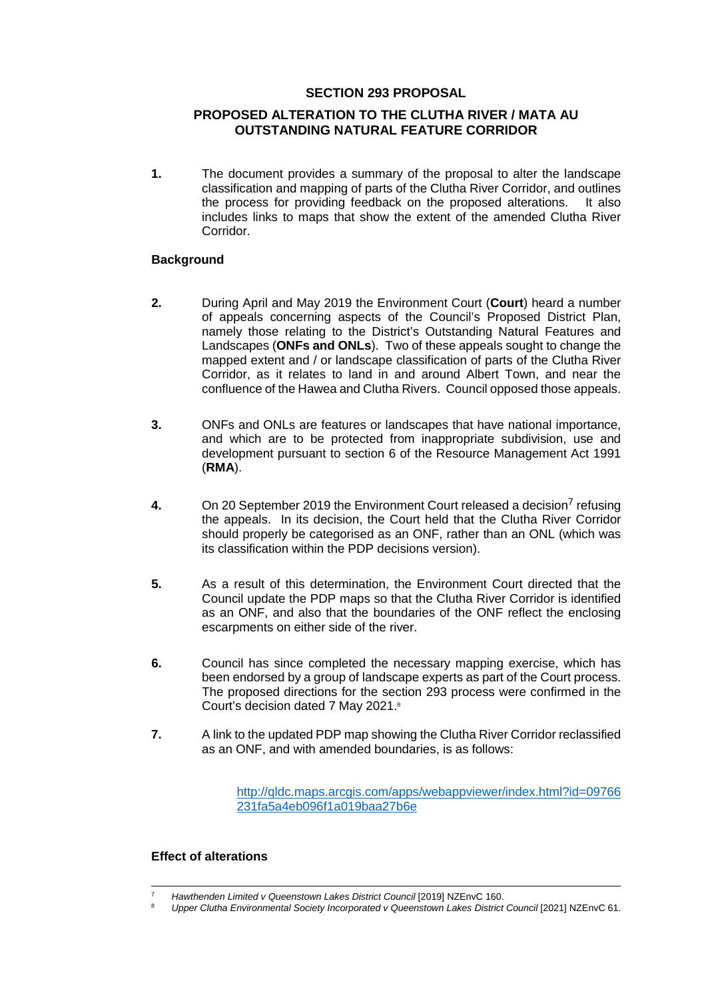# **SECTION 293 PROPOSAL**

# **PROPOSED ALTERATION TO THE CLUTHA RIVER / MATA AU OUTSTANDING NATURAL FEATURE CORRIDOR**

**1.** The document provides a summary of the proposal to alter the landscape classification and mapping of parts of the Clutha River Corridor, and outlines the process for providing feedback on the proposed alterations. It also includes links to maps that show the extent of the amended Clutha River Corridor.

# **Background**

- **2.** During April and May 2019 the Environment Court (**Court**) heard a number of appeals concerning aspects of the Council's Proposed District Plan, namely those relating to the District's Outstanding Natural Features and Landscapes (**ONFs and ONLs**). Two of these appeals sought to change the mapped extent and / or landscape classification of parts of the Clutha River Corridor, as it relates to land in and around Albert Town, and near the confluence of the Hawea and Clutha Rivers. Council opposed those appeals.
- **3.** ONFs and ONLs are features or landscapes that have national importance, and which are to be protected from inappropriate subdivision, use and development pursuant to section 6 of the Resource Management Act 1991 (**RMA**).
- **4.** On 20 September 2019 the Environment Court released a decision<sup>7</sup> refusing the appeals. In its decision, the Court held that the Clutha River Corridor should properly be categorised as an ONF, rather than an ONL (which was its classification within the PDP decisions version).
- **5.** As a result of this determination, the Environment Court directed that the Council update the PDP maps so that the Clutha River Corridor is identified as an ONF, and also that the boundaries of the ONF reflect the enclosing escarpments on either side of the river.
- **6.** Council has since completed the necessary mapping exercise, which has been endorsed by a group of landscape experts as part of the Court process. The proposed directions for the section 293 process were confirmed in the Court's decision dated 7 May 2021.8
- **7.** A link to the updated PDP map showing the Clutha River Corridor reclassified as an ONF, and with amended boundaries, is as follows:

http://qldc.maps.arcgis.com/apps/webappviewer/index.html?id=09766 231fa5a4eb096f1a019baa27b6e

### **Effect of alterations**

<sup>7</sup> *Hawthenden Limited v Queenstown Lakes District Council* [2019] NZEnvC 160. 8 *Upper Clutha Environmental Society Incorporated v Queenstown Lakes District Council* [2021] NZEnvC 61.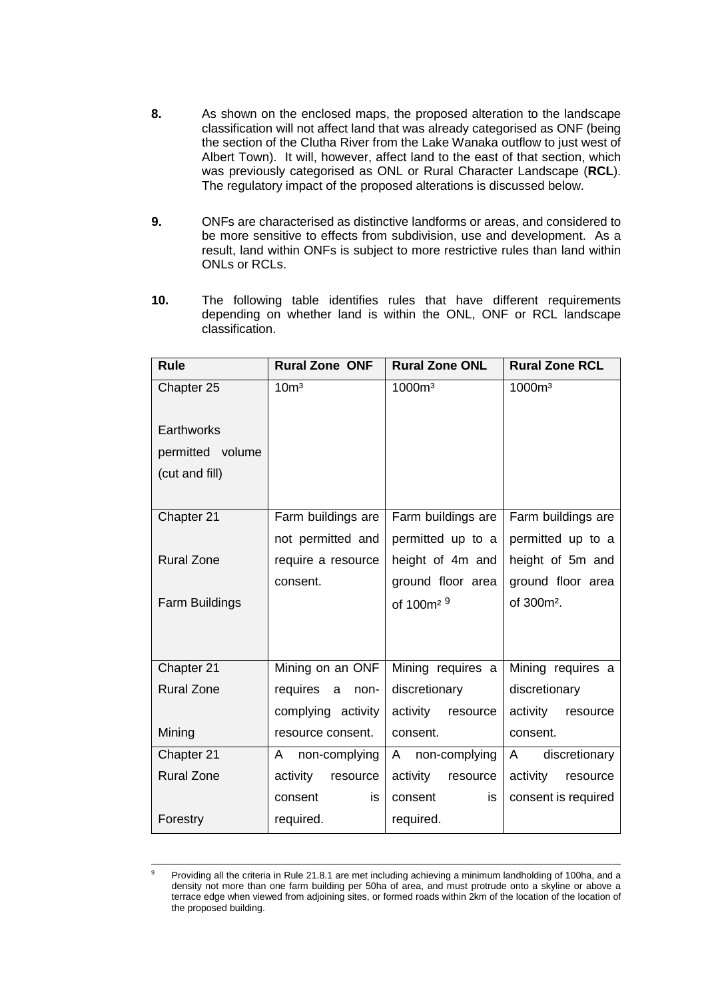- **8.** As shown on the enclosed maps, the proposed alteration to the landscape classification will not affect land that was already categorised as ONF (being the section of the Clutha River from the Lake Wanaka outflow to just west of Albert Town). It will, however, affect land to the east of that section, which was previously categorised as ONL or Rural Character Landscape (**RCL**). The regulatory impact of the proposed alterations is discussed below.
- **9.** ONFs are characterised as distinctive landforms or areas, and considered to be more sensitive to effects from subdivision, use and development. As a result, land within ONFs is subject to more restrictive rules than land within ONLs or RCLs.
- **10.** The following table identifies rules that have different requirements depending on whether land is within the ONL, ONF or RCL landscape classification.

| <b>Rule</b>       | <b>Rural Zone ONF</b> | <b>Rural Zone ONL</b> | <b>Rural Zone RCL</b>  |
|-------------------|-----------------------|-----------------------|------------------------|
| Chapter 25        | 10 <sup>m3</sup>      | 1000m <sup>3</sup>    | 1000m <sup>3</sup>     |
|                   |                       |                       |                        |
| Earthworks        |                       |                       |                        |
| permitted volume  |                       |                       |                        |
| (cut and fill)    |                       |                       |                        |
|                   |                       |                       |                        |
| Chapter 21        | Farm buildings are    | Farm buildings are    | Farm buildings are     |
|                   | not permitted and     | permitted up to a     | permitted up to a      |
| <b>Rural Zone</b> | require a resource    | height of 4m and      | height of 5m and       |
|                   | consent.              | ground floor area     | ground floor area      |
| Farm Buildings    |                       | of 100m <sup>29</sup> | of 300m <sup>2</sup> . |
|                   |                       |                       |                        |
|                   |                       |                       |                        |
| Chapter 21        | Mining on an ONF      | Mining requires a     | Mining requires a      |
| <b>Rural Zone</b> | requires<br>a<br>non- | discretionary         | discretionary          |
|                   | complying activity    | activity<br>resource  | activity<br>resource   |
| Mining            | resource consent.     | consent.              | consent.               |
| Chapter 21        | non-complying<br>A    | non-complying<br>A    | discretionary<br>A     |
| <b>Rural Zone</b> | activity<br>resource  | activity<br>resource  | activity<br>resource   |
|                   | consent<br>is         | consent<br>is         | consent is required    |
| Forestry          | required.             | required.             |                        |

<sup>&</sup>lt;sup>9</sup> Providing all the criteria in Rule 21.8.1 are met including achieving a minimum landholding of 100ha, and a density not more than one farm building per 50ha of area, and must protrude onto a skyline or above a terrace edge when viewed from adjoining sites, or formed roads within 2km of the location of the location of the proposed building.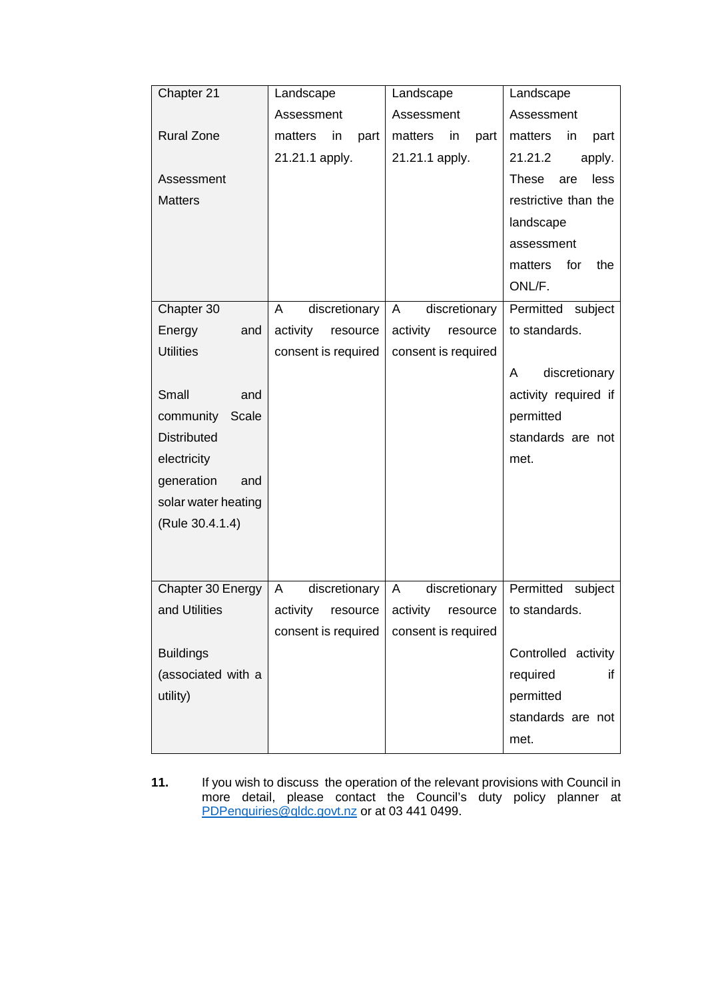| Chapter 21          | Landscape             | Landscape             | Landscape                   |
|---------------------|-----------------------|-----------------------|-----------------------------|
|                     | Assessment            | Assessment            | Assessment                  |
| <b>Rural Zone</b>   | matters<br>in<br>part | matters<br>in<br>part | matters<br>in<br>part       |
|                     | 21.21.1 apply.        | 21.21.1 apply.        | 21.21.2<br>apply.           |
| Assessment          |                       |                       | less<br><b>These</b><br>are |
| <b>Matters</b>      |                       |                       | restrictive than the        |
|                     |                       |                       | landscape                   |
|                     |                       |                       | assessment                  |
|                     |                       |                       | matters<br>for<br>the       |
|                     |                       |                       | ONL/F.                      |
| Chapter 30          | discretionary<br>A    | discretionary<br>A    | Permitted subject           |
| Energy<br>and       | activity<br>resource  | activity<br>resource  | to standards.               |
| <b>Utilities</b>    | consent is required   | consent is required   |                             |
|                     |                       |                       | discretionary<br>Α          |
| Small<br>and        |                       |                       | activity required if        |
| community<br>Scale  |                       |                       | permitted                   |
| <b>Distributed</b>  |                       |                       | standards are not           |
| electricity         |                       |                       | met.                        |
| generation<br>and   |                       |                       |                             |
| solar water heating |                       |                       |                             |
| (Rule 30.4.1.4)     |                       |                       |                             |
|                     |                       |                       |                             |
|                     |                       |                       |                             |
| Chapter 30 Energy   | discretionary<br>A    | discretionary<br>A    | Permitted subject           |
| and Utilities       | activity<br>resource  | activity              | resource   to standards.    |
|                     | consent is required   | consent is required   |                             |
| <b>Buildings</b>    |                       |                       | Controlled activity         |
| (associated with a  |                       |                       | required<br>if              |
| utility)            |                       |                       | permitted                   |
|                     |                       |                       | standards are not           |
|                     |                       |                       | met.                        |

**11.** If you wish to discuss the operation of the relevant provisions with Council in more detail, please contact the Council's duty policy planner at PDPenquiries@qldc.govt.nz or at 03 441 0499.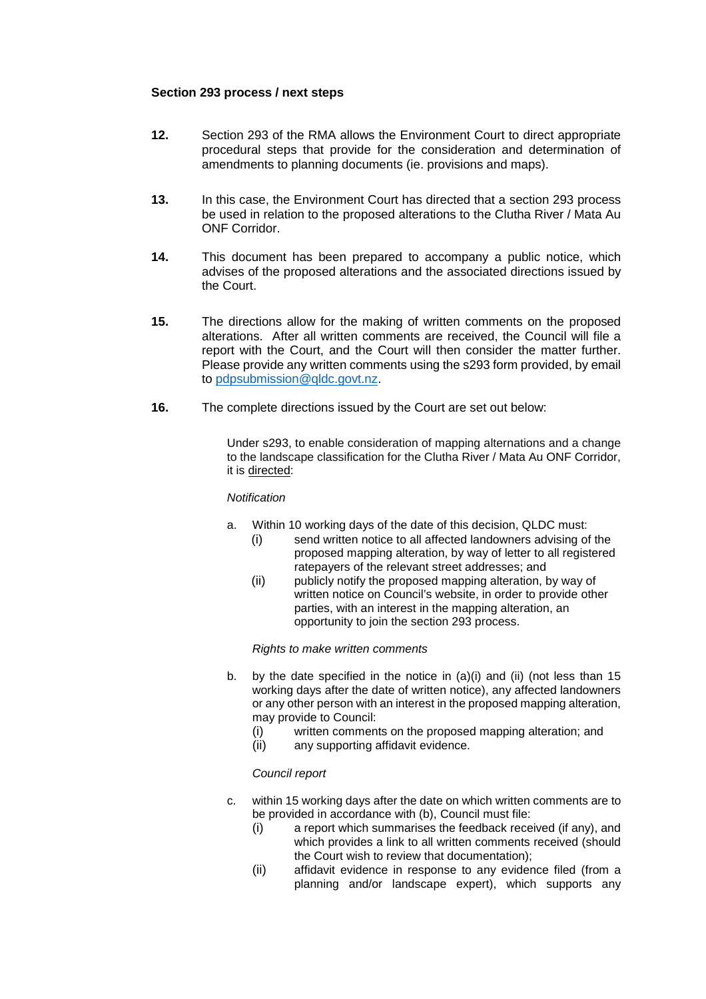### **Section 293 process / next steps**

- **12.** Section 293 of the RMA allows the Environment Court to direct appropriate procedural steps that provide for the consideration and determination of amendments to planning documents (ie. provisions and maps).
- **13.** In this case, the Environment Court has directed that a section 293 process be used in relation to the proposed alterations to the Clutha River / Mata Au ONF Corridor.
- **14.** This document has been prepared to accompany a public notice, which advises of the proposed alterations and the associated directions issued by the Court.
- **15.** The directions allow for the making of written comments on the proposed alterations. After all written comments are received, the Council will file a report with the Court, and the Court will then consider the matter further. Please provide any written comments using the s293 form provided, by email to pdpsubmission@qldc.govt.nz.
- **16.** The complete directions issued by the Court are set out below:

Under s293, to enable consideration of mapping alternations and a change to the landscape classification for the Clutha River / Mata Au ONF Corridor, it is directed:

#### *Notification*

- a. Within 10 working days of the date of this decision, QLDC must:
	- (i) send written notice to all affected landowners advising of the proposed mapping alteration, by way of letter to all registered ratepayers of the relevant street addresses; and
	- (ii) publicly notify the proposed mapping alteration, by way of written notice on Council's website, in order to provide other parties, with an interest in the mapping alteration, an opportunity to join the section 293 process.

#### *Rights to make written comments*

- b. by the date specified in the notice in (a)(i) and (ii) (not less than 15 working days after the date of written notice), any affected landowners or any other person with an interest in the proposed mapping alteration, may provide to Council:
	- (i) written comments on the proposed mapping alteration; and
	- (ii) any supporting affidavit evidence.

# *Council report*

- c. within 15 working days after the date on which written comments are to be provided in accordance with (b), Council must file:
	- (i) a report which summarises the feedback received (if any), and which provides a link to all written comments received (should the Court wish to review that documentation);
	- (ii) affidavit evidence in response to any evidence filed (from a planning and/or landscape expert), which supports any